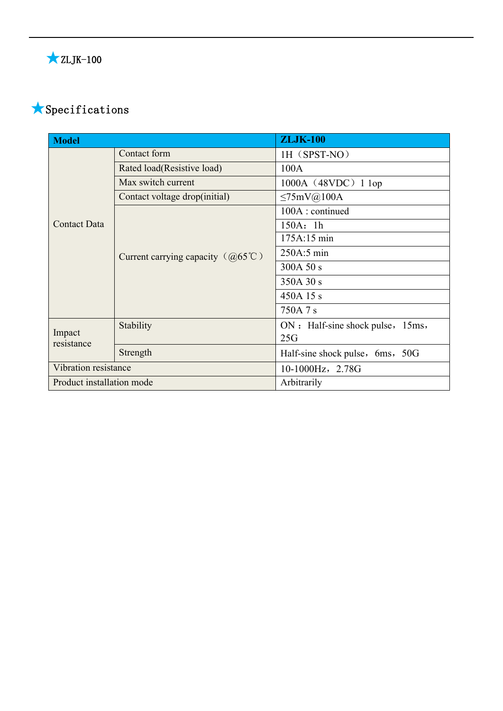# ★Specifications

| <b>Model</b>              |                                            | <b>ZLJK-100</b>                   |  |
|---------------------------|--------------------------------------------|-----------------------------------|--|
| <b>Contact Data</b>       | Contact form                               | 1H (SPST-NO)                      |  |
|                           | Rated load(Resistive load)                 | 100A                              |  |
|                           | Max switch current                         | $1000A$ (48VDC) 1 lop             |  |
|                           | Contact voltage drop(initial)              | $\leq$ 75mV@100A                  |  |
|                           |                                            | 100A: continued                   |  |
|                           | Current carrying capacity $(Q65^{\circ}C)$ | 150A: 1h                          |  |
|                           |                                            | 175A:15 min                       |  |
|                           |                                            | 250A:5 min                        |  |
|                           |                                            | 300A 50 s                         |  |
|                           |                                            | 350A 30 s                         |  |
|                           |                                            | 450A 15 s                         |  |
|                           |                                            | 750A 7 s                          |  |
| Impact<br>resistance      | Stability                                  | ON : Half-sine shock pulse, 15ms, |  |
|                           |                                            | 25G                               |  |
|                           | Strength                                   | Half-sine shock pulse, 6ms, 50G   |  |
| Vibration resistance      |                                            | 10-1000Hz, 2.78G                  |  |
| Product installation mode |                                            | Arbitrarily                       |  |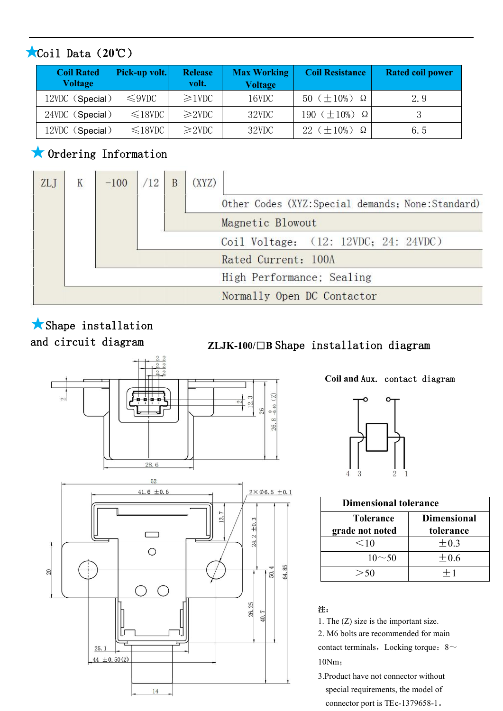### ★Coil Data(**20**℃)

| <b>Coil Rated</b><br><b>Voltage</b> | Pick-up volt. | <b>Release</b><br>volt. | <b>Max Working</b><br><b>Voltage</b> | <b>Coil Resistance</b>     | <b>Rated coil power</b> |
|-------------------------------------|---------------|-------------------------|--------------------------------------|----------------------------|-------------------------|
| 12VDC (Special)                     | $\leq$ 9VDC   | $\geq$ 1VDC             | 16VDC                                | 50 ( $\pm 10\%$ ) $\Omega$ | 2.9                     |
| 24VDC (Special)                     | $\leq 18$ VDC | $\geq$ 2VDC             | 32VDC                                | 190 $(\pm 10\%)$ $\Omega$  |                         |
| 12VDC (Special)                     | $\leq$ 18VDC  | $\geq$ 2VDC             | 32VDC                                | $22 (+10\%)$ $\Omega$      | 6.5                     |

### ★Ordering Information



# ★Shape installation

## and circuit diagram **ZLJK-100/**□**<sup>B</sup>** Shape installation diagram



#### **Coil and** Aux. contact diagram



| <b>Dimensional tolerance</b> |                    |  |  |  |
|------------------------------|--------------------|--|--|--|
| <b>Tolerance</b>             | <b>Dimensional</b> |  |  |  |
| grade not noted              | tolerance          |  |  |  |
| $<$ 10                       | $\pm 0.3$          |  |  |  |
| $10 \sim 50$                 | $\pm 0.6$          |  |  |  |
|                              | $+1$               |  |  |  |

#### 注: カランド アイスト こうしょう こうしょう こうしょう

1. The (Z) size is the important size. 2. M6 bolts are recommended for main contact terminals, Locking torque:  $8~$ 10Nm;

3.Product have not connector without special requirements, the model of connector port is TEc-1379658-1。